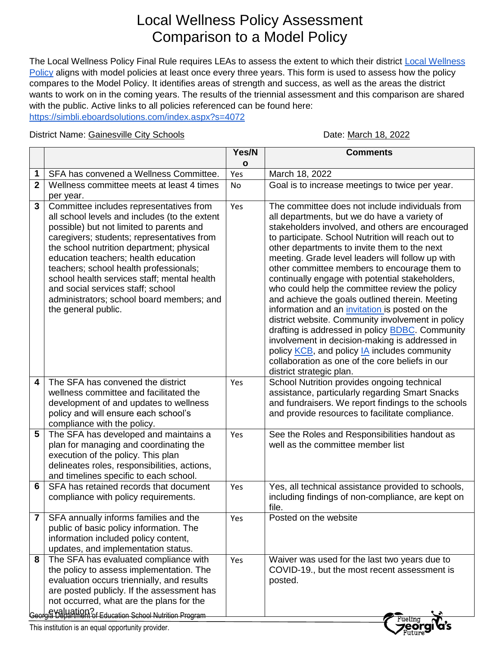## Local Wellness Policy Assessment Comparison to a Model Policy

The [Local Wellness](https://drive.google.com/file/d/1xcL2FWBZ3EzMAjLhKz45XL1iIxgV6dA2/view?usp=sharing) Policy Final Rule requires LEAs to assess the extent to which their district Local Wellness [Policy](https://drive.google.com/file/d/1xcL2FWBZ3EzMAjLhKz45XL1iIxgV6dA2/view?usp=sharing) aligns with model policies at least once every three years. This form is used to assess how the policy compares to the Model Policy. It identifies areas of strength and success, as well as the areas the district wants to work on in the coming years. The results of the triennial assessment and this comparison are shared with the public. Active links to all policies referenced can be found here: <https://simbli.eboardsolutions.com/index.aspx?s=4072>

District Name: Gainesville City Schools **District Name: March 18, 2022** 

|                                                    |                                                                                                                                                                                                                                                                                                                                                                                                                                                                                        | Yes/N | <b>Comments</b>                                                                                                                                                                                                                                                                                                                                                                                                                                                                                                                                                                                                                                                                                                                                                                                                                                                                 |  |  |
|----------------------------------------------------|----------------------------------------------------------------------------------------------------------------------------------------------------------------------------------------------------------------------------------------------------------------------------------------------------------------------------------------------------------------------------------------------------------------------------------------------------------------------------------------|-------|---------------------------------------------------------------------------------------------------------------------------------------------------------------------------------------------------------------------------------------------------------------------------------------------------------------------------------------------------------------------------------------------------------------------------------------------------------------------------------------------------------------------------------------------------------------------------------------------------------------------------------------------------------------------------------------------------------------------------------------------------------------------------------------------------------------------------------------------------------------------------------|--|--|
|                                                    |                                                                                                                                                                                                                                                                                                                                                                                                                                                                                        | O     |                                                                                                                                                                                                                                                                                                                                                                                                                                                                                                                                                                                                                                                                                                                                                                                                                                                                                 |  |  |
| 1                                                  | SFA has convened a Wellness Committee.                                                                                                                                                                                                                                                                                                                                                                                                                                                 | Yes   | March 18, 2022                                                                                                                                                                                                                                                                                                                                                                                                                                                                                                                                                                                                                                                                                                                                                                                                                                                                  |  |  |
| $\overline{2}$                                     | Wellness committee meets at least 4 times                                                                                                                                                                                                                                                                                                                                                                                                                                              | No    | Goal is to increase meetings to twice per year.                                                                                                                                                                                                                                                                                                                                                                                                                                                                                                                                                                                                                                                                                                                                                                                                                                 |  |  |
| 3                                                  | per year.<br>Committee includes representatives from<br>all school levels and includes (to the extent<br>possible) but not limited to parents and<br>caregivers; students; representatives from<br>the school nutrition department; physical<br>education teachers; health education<br>teachers; school health professionals;<br>school health services staff; mental health<br>and social services staff; school<br>administrators; school board members; and<br>the general public. | Yes   | The committee does not include individuals from<br>all departments, but we do have a variety of<br>stakeholders involved, and others are encouraged<br>to participate. School Nutrition will reach out to<br>other departments to invite them to the next<br>meeting. Grade level leaders will follow up with<br>other committee members to encourage them to<br>continually engage with potential stakeholders,<br>who could help the committee review the policy<br>and achieve the goals outlined therein. Meeting<br>information and an <i>invitation</i> is posted on the<br>district website. Community involvement in policy<br>drafting is addressed in policy <b>BDBC</b> . Community<br>involvement in decision-making is addressed in<br>policy KCB, and policy IA includes community<br>collaboration as one of the core beliefs in our<br>district strategic plan. |  |  |
| 4                                                  | The SFA has convened the district<br>wellness committee and facilitated the<br>development of and updates to wellness<br>policy and will ensure each school's<br>compliance with the policy.                                                                                                                                                                                                                                                                                           | Yes   | School Nutrition provides ongoing technical<br>assistance, particularly regarding Smart Snacks<br>and fundraisers. We report findings to the schools<br>and provide resources to facilitate compliance.                                                                                                                                                                                                                                                                                                                                                                                                                                                                                                                                                                                                                                                                         |  |  |
| 5                                                  | The SFA has developed and maintains a<br>plan for managing and coordinating the<br>execution of the policy. This plan<br>delineates roles, responsibilities, actions,<br>and timelines specific to each school.                                                                                                                                                                                                                                                                        | Yes   | See the Roles and Responsibilities handout as<br>well as the committee member list                                                                                                                                                                                                                                                                                                                                                                                                                                                                                                                                                                                                                                                                                                                                                                                              |  |  |
| 6                                                  | SFA has retained records that document<br>compliance with policy requirements.                                                                                                                                                                                                                                                                                                                                                                                                         | Yes   | Yes, all technical assistance provided to schools,<br>including findings of non-compliance, are kept on<br>file.                                                                                                                                                                                                                                                                                                                                                                                                                                                                                                                                                                                                                                                                                                                                                                |  |  |
| 7                                                  | SFA annually informs families and the<br>public of basic policy information. The<br>information included policy content,<br>updates, and implementation status.                                                                                                                                                                                                                                                                                                                        | Yes   | Posted on the website                                                                                                                                                                                                                                                                                                                                                                                                                                                                                                                                                                                                                                                                                                                                                                                                                                                           |  |  |
| 8                                                  | The SFA has evaluated compliance with<br>the policy to assess implementation. The<br>evaluation occurs triennially, and results<br>are posted publicly. If the assessment has<br>not occurred, what are the plans for the<br>Leorgia Department of Education School Nutrition Program                                                                                                                                                                                                  | Yes   | Waiver was used for the last two years due to<br>COVID-19., but the most recent assessment is<br>posted.                                                                                                                                                                                                                                                                                                                                                                                                                                                                                                                                                                                                                                                                                                                                                                        |  |  |
| This institution is an equal opportunity provider. |                                                                                                                                                                                                                                                                                                                                                                                                                                                                                        |       |                                                                                                                                                                                                                                                                                                                                                                                                                                                                                                                                                                                                                                                                                                                                                                                                                                                                                 |  |  |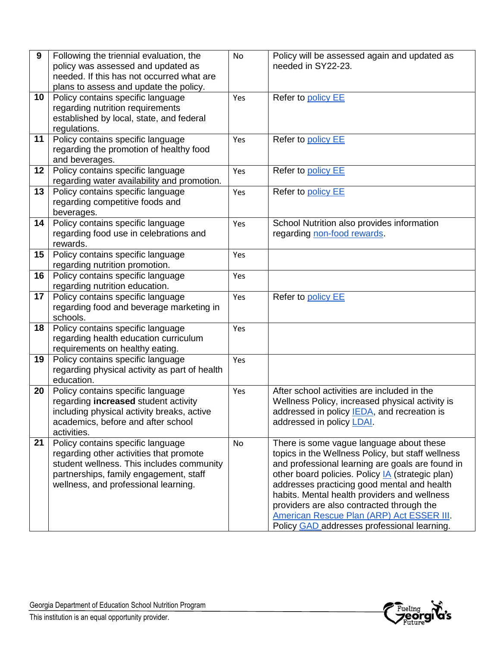| 9  | Following the triennial evaluation, the       | No  | Policy will be assessed again and updated as            |
|----|-----------------------------------------------|-----|---------------------------------------------------------|
|    | policy was assessed and updated as            |     | needed in SY22-23.                                      |
|    | needed. If this has not occurred what are     |     |                                                         |
|    | plans to assess and update the policy.        |     |                                                         |
| 10 | Policy contains specific language             | Yes | Refer to policy EE                                      |
|    | regarding nutrition requirements              |     |                                                         |
|    | established by local, state, and federal      |     |                                                         |
|    | regulations.                                  |     |                                                         |
| 11 | Policy contains specific language             | Yes | Refer to policy EE                                      |
|    | regarding the promotion of healthy food       |     |                                                         |
|    | and beverages.                                |     |                                                         |
| 12 | Policy contains specific language             | Yes | Refer to policy EE                                      |
|    | regarding water availability and promotion.   |     |                                                         |
| 13 | Policy contains specific language             | Yes | Refer to policy EE                                      |
|    | regarding competitive foods and               |     |                                                         |
|    | beverages.                                    |     |                                                         |
| 14 | Policy contains specific language             | Yes | School Nutrition also provides information              |
|    | regarding food use in celebrations and        |     | regarding non-food rewards.                             |
|    | rewards.                                      |     |                                                         |
| 15 | Policy contains specific language             | Yes |                                                         |
|    | regarding nutrition promotion.                |     |                                                         |
| 16 | Policy contains specific language             | Yes |                                                         |
|    | regarding nutrition education.                |     |                                                         |
| 17 | Policy contains specific language             | Yes | Refer to policy EE                                      |
|    | regarding food and beverage marketing in      |     |                                                         |
|    | schools.                                      |     |                                                         |
| 18 | Policy contains specific language             | Yes |                                                         |
|    | regarding health education curriculum         |     |                                                         |
|    | requirements on healthy eating.               |     |                                                         |
| 19 | Policy contains specific language             | Yes |                                                         |
|    | regarding physical activity as part of health |     |                                                         |
|    | education.                                    |     |                                                         |
| 20 | Policy contains specific language             | Yes | After school activities are included in the             |
|    | regarding increased student activity          |     | Wellness Policy, increased physical activity is         |
|    | including physical activity breaks, active    |     | addressed in policy IEDA, and recreation is             |
|    | academics, before and after school            |     | addressed in policy LDAI.                               |
|    | activities.                                   |     |                                                         |
| 21 | Policy contains specific language             | No  | There is some vague language about these                |
|    | regarding other activities that promote       |     | topics in the Wellness Policy, but staff wellness       |
|    | student wellness. This includes community     |     | and professional learning are goals are found in        |
|    | partnerships, family engagement, staff        |     | other board policies. Policy <b>IA</b> (strategic plan) |
|    | wellness, and professional learning.          |     | addresses practicing good mental and health             |
|    |                                               |     | habits. Mental health providers and wellness            |
|    |                                               |     | providers are also contracted through the               |
|    |                                               |     | American Rescue Plan (ARP) Act ESSER III.               |
|    |                                               |     | Policy GAD addresses professional learning.             |